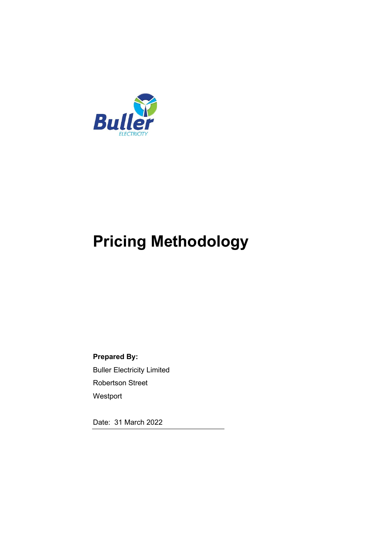

# **Pricing Methodology**

**Prepared By:** Buller Electricity Limited Robertson Street Westport

Date: 31 March 2022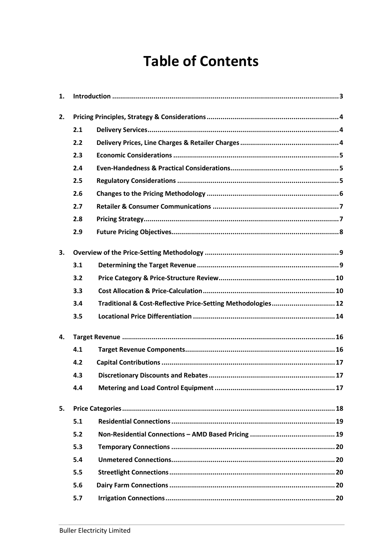# **Table of Contents**

| 1. |     |                                                              |
|----|-----|--------------------------------------------------------------|
| 2. |     |                                                              |
|    | 2.1 |                                                              |
|    | 2.2 |                                                              |
|    | 2.3 |                                                              |
|    | 2.4 |                                                              |
|    | 2.5 |                                                              |
|    | 2.6 |                                                              |
|    | 2.7 |                                                              |
|    | 2.8 |                                                              |
|    | 2.9 |                                                              |
| 3. |     |                                                              |
|    | 3.1 |                                                              |
|    | 3.2 |                                                              |
|    | 3.3 |                                                              |
|    | 3.4 | Traditional & Cost-Reflective Price-Setting Methodologies 12 |
|    | 3.5 |                                                              |
| 4. |     |                                                              |
|    | 4.1 |                                                              |
|    | 4.2 |                                                              |
|    | 4.3 |                                                              |
|    | 4.4 |                                                              |
| 5. |     |                                                              |
|    | 5.1 |                                                              |
|    | 5.2 |                                                              |
|    | 5.3 |                                                              |
|    | 5.4 |                                                              |
|    | 5.5 |                                                              |
|    | 5.6 |                                                              |
|    | 5.7 |                                                              |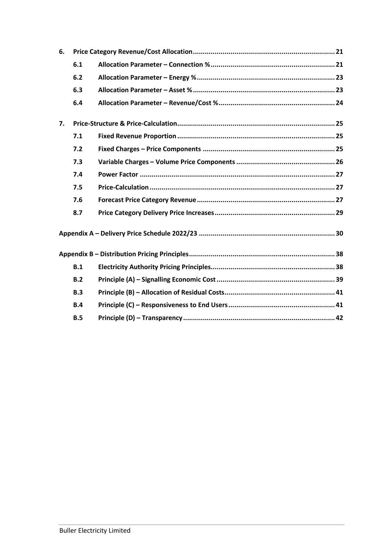| 6. |     |  |
|----|-----|--|
|    | 6.1 |  |
|    | 6.2 |  |
|    | 6.3 |  |
|    | 6.4 |  |
| 7. |     |  |
|    | 7.1 |  |
|    | 7.2 |  |
|    | 7.3 |  |
|    | 7.4 |  |
|    | 7.5 |  |
|    | 7.6 |  |
|    | 8.7 |  |
|    |     |  |
|    |     |  |
|    | B.1 |  |
|    | B.2 |  |
|    | B.3 |  |
|    | B.4 |  |
|    | B.5 |  |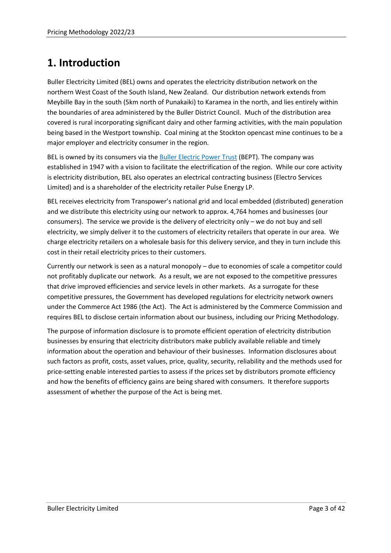# <span id="page-4-0"></span>**1. Introduction**

Buller Electricity Limited (BEL) owns and operates the electricity distribution network on the northern West Coast of the South Island, New Zealand. Our distribution network extends from Meybille Bay in the south (5km north of Punakaiki) to Karamea in the north, and lies entirely within the boundaries of area administered by the Buller District Council. Much of the distribution area covered is rural incorporating significant dairy and other farming activities, with the main population being based in the Westport township. Coal mining at the Stockton opencast mine continues to be a major employer and electricity consumer in the region.

BEL is owned by its consumers via the [Buller Electric Power Trust](https://bullerelectricity.co.nz/buller-electric-power-trust/) (BEPT). The company was established in 1947 with a vision to facilitate the electrification of the region. While our core activity is electricity distribution, BEL also operates an electrical contracting business (Electro Services Limited) and is a shareholder of the electricity retailer Pulse Energy LP.

BEL receives electricity from Transpower's national grid and local embedded (distributed) generation and we distribute this electricity using our network to approx. 4,764 homes and businesses (our consumers). The service we provide is the delivery of electricity only – we do not buy and sell electricity, we simply deliver it to the customers of electricity retailers that operate in our area. We charge electricity retailers on a wholesale basis for this delivery service, and they in turn include this cost in their retail electricity prices to their customers.

Currently our network is seen as a natural monopoly – due to economies of scale a competitor could not profitably duplicate our network. As a result, we are not exposed to the competitive pressures that drive improved efficiencies and service levels in other markets. As a surrogate for these competitive pressures, the Government has developed regulations for electricity network owners under the Commerce Act 1986 (the Act). The Act is administered by the Commerce Commission and requires BEL to disclose certain information about our business, including our Pricing Methodology.

The purpose of information disclosure is to promote efficient operation of electricity distribution businesses by ensuring that electricity distributors make publicly available reliable and timely information about the operation and behaviour of their businesses. Information disclosures about such factors as profit, costs, asset values, price, quality, security, reliability and the methods used for price-setting enable interested parties to assess if the prices set by distributors promote efficiency and how the benefits of efficiency gains are being shared with consumers. It therefore supports assessment of whether the purpose of the Act is being met.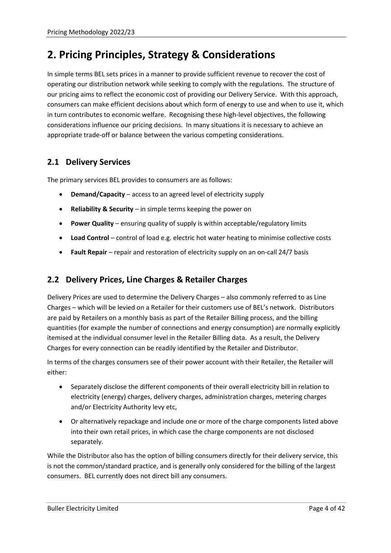# <span id="page-5-0"></span>**2. Pricing Principles, Strategy & Considerations**

In simple terms BEL sets prices in a manner to provide sufficient revenue to recover the cost of operating our distribution network while seeking to comply with the regulations. The structure of our pricing aims to reflect the economic cost of providing our Delivery Service. With this approach, consumers can make efficient decisions about which form of energy to use and when to use it, which in turn contributes to economic welfare. Recognising these high-level objectives, the following considerations influence our pricing decisions. In many situations it is necessary to achieve an appropriate trade-off or balance between the various competing considerations.

### <span id="page-5-1"></span>**2.1 Delivery Services**

The primary services BEL provides to consumers are as follows:

- **Demand/Capacity** access to an agreed level of electricity supply
- **Reliability & Security** in simple terms keeping the power on
- **Power Quality** ensuring quality of supply is within acceptable/regulatory limits
- **Load Control** control of load e.g. electric hot water heating to minimise collective costs
- **Fault Repair**  repair and restoration of electricity supply on an on-call 24/7 basis

# <span id="page-5-2"></span>**2.2 Delivery Prices, Line Charges & Retailer Charges**

Delivery Prices are used to determine the Delivery Charges – also commonly referred to as Line Charges – which will be levied on a Retailer for their customers use of BEL's network. Distributors are paid by Retailers on a monthly basis as part of the Retailer Billing process, and the billing quantities (for example the number of connections and energy consumption) are normally explicitly itemised at the individual consumer level in the Retailer Billing data. As a result, the Delivery Charges for every connection can be readily identified by the Retailer and Distributor.

In terms of the charges consumers see of their power account with their Retailer, the Retailer will either:

- Separately disclose the different components of their overall electricity bill in relation to electricity (energy) charges, delivery charges, administration charges, metering charges and/or Electricity Authority levy etc,
- Or alternatively repackage and include one or more of the charge components listed above into their own retail prices, in which case the charge components are not disclosed separately.

While the Distributor also has the option of billing consumers directly for their delivery service, this is not the common/standard practice, and is generally only considered for the billing of the largest consumers. BEL currently does not direct bill any consumers.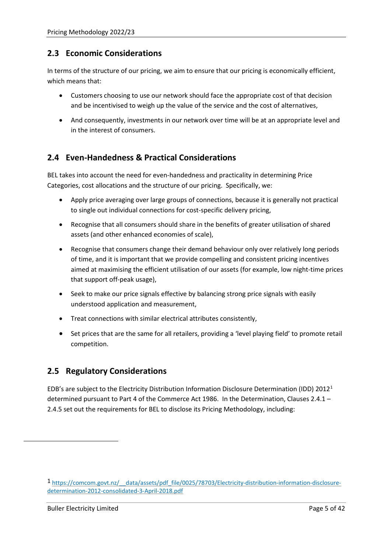#### <span id="page-6-0"></span>**2.3 Economic Considerations**

In terms of the structure of our pricing, we aim to ensure that our pricing is economically efficient, which means that:

- Customers choosing to use our network should face the appropriate cost of that decision and be incentivised to weigh up the value of the service and the cost of alternatives,
- And consequently, investments in our network over time will be at an appropriate level and in the interest of consumers.

### <span id="page-6-1"></span>**2.4 Even-Handedness & Practical Considerations**

BEL takes into account the need for even-handedness and practicality in determining Price Categories, cost allocations and the structure of our pricing. Specifically, we:

- Apply price averaging over large groups of connections, because it is generally not practical to single out individual connections for cost-specific delivery pricing,
- Recognise that all consumers should share in the benefits of greater utilisation of shared assets (and other enhanced economies of scale),
- Recognise that consumers change their demand behaviour only over relatively long periods of time, and it is important that we provide compelling and consistent pricing incentives aimed at maximising the efficient utilisation of our assets (for example, low night-time prices that support off-peak usage),
- Seek to make our price signals effective by balancing strong price signals with easily understood application and measurement,
- Treat connections with similar electrical attributes consistently,
- Set prices that are the same for all retailers, providing a 'level playing field' to promote retail competition.

#### <span id="page-6-2"></span>**2.5 Regulatory Considerations**

EDB's are subject to the Electricity Distribution Information Disclosure Determination (IDD) 2012[1](#page-6-3) determined pursuant to Part 4 of the Commerce Act 1986. In the Determination, Clauses 2.4.1 – 2.4.5 set out the requirements for BEL to disclose its Pricing Methodology, including:

<span id="page-6-3"></span><sup>1</sup> https://comcom.govt.nz/ data/assets/pdf file/0025/78703/Electricity-distribution-information-disclosure[determination-2012-consolidated-3-April-2018.pdf](https://comcom.govt.nz/__data/assets/pdf_file/0025/78703/Electricity-distribution-information-disclosure-determination-2012-consolidated-3-April-2018.pdf)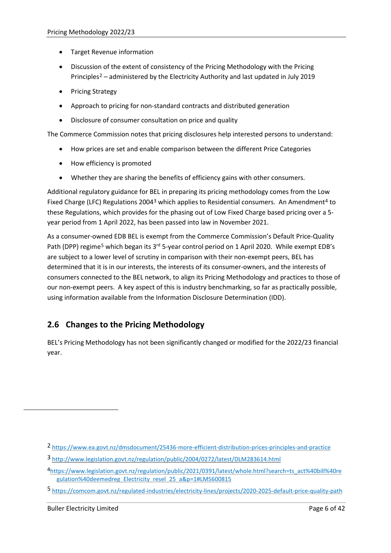- Target Revenue information
- Discussion of the extent of consistency of the Pricing Methodology with the Pricing Principles[2](#page-7-1) – administered by the Electricity Authority and last updated in July 2019
- Pricing Strategy
- Approach to pricing for non-standard contracts and distributed generation
- Disclosure of consumer consultation on price and quality

The Commerce Commission notes that pricing disclosures help interested persons to understand:

- How prices are set and enable comparison between the different Price Categories
- How efficiency is promoted
- Whether they are sharing the benefits of efficiency gains with other consumers.

Additional regulatory guidance for BEL in preparing its pricing methodology comes from the Low Fixed Charge (LFC) Regulations 2004<sup>[3](#page-7-2)</sup> which applies to Residential consumers. An Amendment<sup>[4](#page-7-3)</sup> to these Regulations, which provides for the phasing out of Low Fixed Charge based pricing over a 5 year period from 1 April 2022, has been passed into law in November 2021.

As a consumer-owned EDB BEL is exempt from the Commerce Commission's Default Price-Quality Path (DPP) regime<sup>[5](#page-7-4)</sup> which began its 3<sup>rd</sup> 5-year control period on 1 April 2020. While exempt EDB's are subject to a lower level of scrutiny in comparison with their non-exempt peers, BEL has determined that it is in our interests, the interests of its consumer-owners, and the interests of consumers connected to the BEL network, to align its Pricing Methodology and practices to those of our non-exempt peers. A key aspect of this is industry benchmarking, so far as practically possible, using information available from the Information Disclosure Determination (IDD).

# <span id="page-7-0"></span>**2.6 Changes to the Pricing Methodology**

BEL's Pricing Methodology has not been significantly changed or modified for the 2022/23 financial year.

<span id="page-7-1"></span><sup>2</sup> <https://www.ea.govt.nz/dmsdocument/25436-more-efficient-distribution-prices-principles-and-practice>

<span id="page-7-2"></span><sup>3</sup> <http://www.legislation.govt.nz/regulation/public/2004/0272/latest/DLM283614.html>

<span id="page-7-3"></span><sup>4</sup>[https://www.legislation.govt.nz/regulation/public/2021/0391/latest/whole.html?search=ts\\_act%40bill%40re](https://www.legislation.govt.nz/regulation/public/2021/0391/latest/whole.html?search=ts_act%40bill%40regulation%40deemedreg_Electricity_resel_25_a&p=1#LMS600815) [gulation%40deemedreg\\_Electricity\\_resel\\_25\\_a&p=1#LMS600815](https://www.legislation.govt.nz/regulation/public/2021/0391/latest/whole.html?search=ts_act%40bill%40regulation%40deemedreg_Electricity_resel_25_a&p=1#LMS600815)

<span id="page-7-4"></span><sup>5</sup> <https://comcom.govt.nz/regulated-industries/electricity-lines/projects/2020-2025-default-price-quality-path>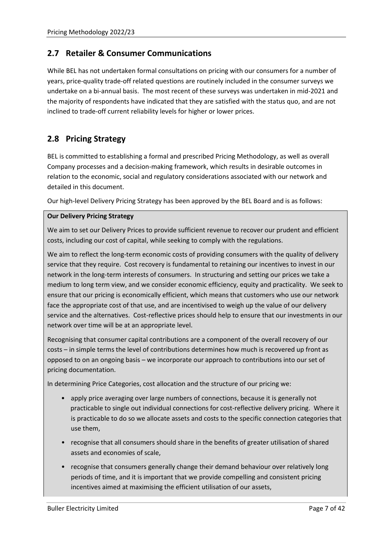#### <span id="page-8-0"></span>**2.7 Retailer & Consumer Communications**

While BEL has not undertaken formal consultations on pricing with our consumers for a number of years, price-quality trade-off related questions are routinely included in the consumer surveys we undertake on a bi-annual basis. The most recent of these surveys was undertaken in mid-2021 and the majority of respondents have indicated that they are satisfied with the status quo, and are not inclined to trade-off current reliability levels for higher or lower prices.

### <span id="page-8-1"></span>**2.8 Pricing Strategy**

BEL is committed to establishing a formal and prescribed Pricing Methodology, as well as overall Company processes and a decision-making framework, which results in desirable outcomes in relation to the economic, social and regulatory considerations associated with our network and detailed in this document.

Our high-level Delivery Pricing Strategy has been approved by the BEL Board and is as follows:

#### **Our Delivery Pricing Strategy**

We aim to set our Delivery Prices to provide sufficient revenue to recover our prudent and efficient costs, including our cost of capital, while seeking to comply with the regulations.

We aim to reflect the long-term economic costs of providing consumers with the quality of delivery service that they require. Cost recovery is fundamental to retaining our incentives to invest in our network in the long-term interests of consumers. In structuring and setting our prices we take a medium to long term view, and we consider economic efficiency, equity and practicality. We seek to ensure that our pricing is economically efficient, which means that customers who use our network face the appropriate cost of that use, and are incentivised to weigh up the value of our delivery service and the alternatives. Cost-reflective prices should help to ensure that our investments in our network over time will be at an appropriate level.

Recognising that consumer capital contributions are a component of the overall recovery of our costs – in simple terms the level of contributions determines how much is recovered up front as opposed to on an ongoing basis – we incorporate our approach to contributions into our set of pricing documentation.

In determining Price Categories, cost allocation and the structure of our pricing we:

- apply price averaging over large numbers of connections, because it is generally not practicable to single out individual connections for cost-reflective delivery pricing. Where it is practicable to do so we allocate assets and costs to the specific connection categories that use them,
- recognise that all consumers should share in the benefits of greater utilisation of shared assets and economies of scale,
- recognise that consumers generally change their demand behaviour over relatively long periods of time, and it is important that we provide compelling and consistent pricing incentives aimed at maximising the efficient utilisation of our assets,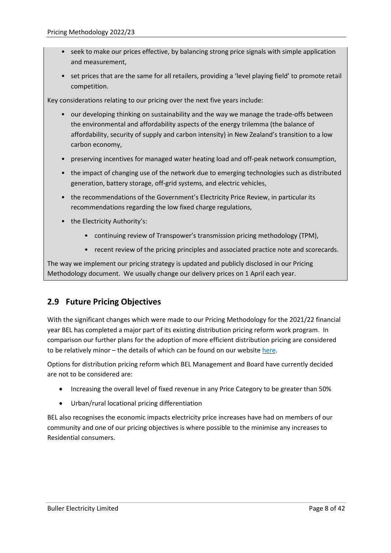- seek to make our prices effective, by balancing strong price signals with simple application and measurement,
- set prices that are the same for all retailers, providing a 'level playing field' to promote retail competition.

Key considerations relating to our pricing over the next five years include:

- our developing thinking on sustainability and the way we manage the trade-offs between the environmental and affordability aspects of the energy trilemma (the balance of affordability, security of supply and carbon intensity) in New Zealand's transition to a low carbon economy,
- preserving incentives for managed water heating load and off-peak network consumption,
- the impact of changing use of the network due to emerging technologies such as distributed generation, battery storage, off-grid systems, and electric vehicles,
- the recommendations of the Government's Electricity Price Review, in particular its recommendations regarding the low fixed charge regulations,
- the Electricity Authority's:
	- continuing review of Transpower's transmission pricing methodology (TPM),
	- recent review of the pricing principles and associated practice note and scorecards.

The way we implement our pricing strategy is updated and publicly disclosed in our Pricing Methodology document. We usually change our delivery prices on 1 April each year.

# <span id="page-9-0"></span>**2.9 Future Pricing Objectives**

With the significant changes which were made to our Pricing Methodology for the 2021/22 financial year BEL has completed a major part of its existing distribution pricing reform work program. In comparison our further plans for the adoption of more efficient distribution pricing are considered to be relatively minor – the details of which can be found on our website [here.](https://www.bullerelectricity.co.nz/adoption-of-efficient-pricing/)

Options for distribution pricing reform which BEL Management and Board have currently decided are not to be considered are:

- Increasing the overall level of fixed revenue in any Price Category to be greater than 50%
- Urban/rural locational pricing differentiation

BEL also recognises the economic impacts electricity price increases have had on members of our community and one of our pricing objectives is where possible to the minimise any increases to Residential consumers.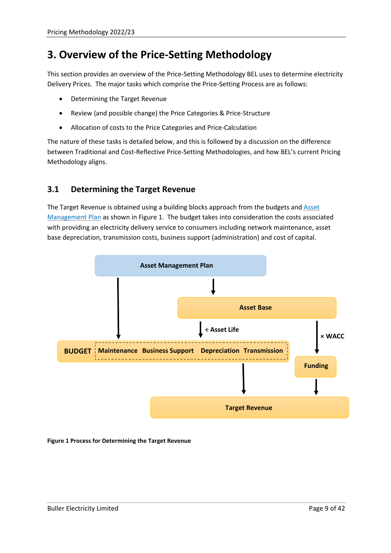# <span id="page-10-0"></span>**3. Overview of the Price-Setting Methodology**

This section provides an overview of the Price-Setting Methodology BEL uses to determine electricity Delivery Prices. The major tasks which comprise the Price-Setting Process are as follows:

- Determining the Target Revenue
- Review (and possible change) the Price Categories & Price-Structure
- Allocation of costs to the Price Categories and Price-Calculation

The nature of these tasks is detailed below, and this is followed by a discussion on the difference between Traditional and Cost-Reflective Price-Setting Methodologies, and how BEL's current Pricing Methodology aligns.

### <span id="page-10-1"></span>**3.1 Determining the Target Revenue**

The Target Revenue is obtained using a building blocks approach from the budgets and [Asset](https://www.bullerelectricity.co.nz/asset-management-plan/)  [Management Plan](https://www.bullerelectricity.co.nz/asset-management-plan/) as shown in [Figure 1.](#page-10-2) The budget takes into consideration the costs associated with providing an electricity delivery service to consumers including network maintenance, asset base depreciation, transmission costs, business support (administration) and cost of capital.



<span id="page-10-2"></span>**Figure 1 Process for Determining the Target Revenue**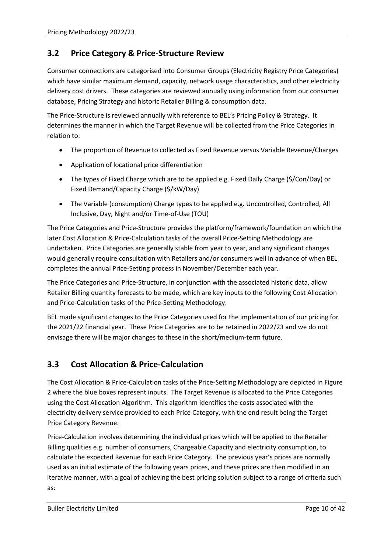#### <span id="page-11-0"></span>**3.2 Price Category & Price-Structure Review**

Consumer connections are categorised into Consumer Groups (Electricity Registry Price Categories) which have similar maximum demand, capacity, network usage characteristics, and other electricity delivery cost drivers. These categories are reviewed annually using information from our consumer database, Pricing Strategy and historic Retailer Billing & consumption data.

The Price-Structure is reviewed annually with reference to BEL's Pricing Policy & Strategy. It determines the manner in which the Target Revenue will be collected from the Price Categories in relation to:

- The proportion of Revenue to collected as Fixed Revenue versus Variable Revenue/Charges
- Application of locational price differentiation
- The types of Fixed Charge which are to be applied e.g. Fixed Daily Charge (\$/Con/Day) or Fixed Demand/Capacity Charge (\$/kW/Day)
- The Variable (consumption) Charge types to be applied e.g. Uncontrolled, Controlled, All Inclusive, Day, Night and/or Time-of-Use (TOU)

The Price Categories and Price-Structure provides the platform/framework/foundation on which the later Cost Allocation & Price-Calculation tasks of the overall Price-Setting Methodology are undertaken. Price Categories are generally stable from year to year, and any significant changes would generally require consultation with Retailers and/or consumers well in advance of when BEL completes the annual Price-Setting process in November/December each year.

The Price Categories and Price-Structure, in conjunction with the associated historic data, allow Retailer Billing quantity forecasts to be made, which are key inputs to the following Cost Allocation and Price-Calculation tasks of the Price-Setting Methodology.

BEL made significant changes to the Price Categories used for the implementation of our pricing for the 2021/22 financial year. These Price Categories are to be retained in 2022/23 and we do not envisage there will be major changes to these in the short/medium-term future.

#### <span id="page-11-1"></span>**3.3 Cost Allocation & Price-Calculation**

The Cost Allocation & Price-Calculation tasks of the Price-Setting Methodology are depicted in [Figure](#page-12-0)  [2](#page-12-0) where the blue boxes represent inputs. The Target Revenue is allocated to the Price Categories using the Cost Allocation Algorithm. This algorithm identifies the costs associated with the electricity delivery service provided to each Price Category, with the end result being the Target Price Category Revenue.

Price-Calculation involves determining the individual prices which will be applied to the Retailer Billing qualities e.g. number of consumers, Chargeable Capacity and electricity consumption, to calculate the expected Revenue for each Price Category. The previous year's prices are normally used as an initial estimate of the following years prices, and these prices are then modified in an iterative manner, with a goal of achieving the best pricing solution subject to a range of criteria such as: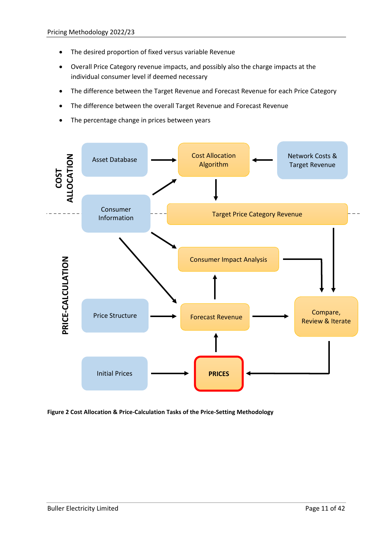- The desired proportion of fixed versus variable Revenue
- Overall Price Category revenue impacts, and possibly also the charge impacts at the individual consumer level if deemed necessary
- The difference between the Target Revenue and Forecast Revenue for each Price Category
- The difference between the overall Target Revenue and Forecast Revenue
- The percentage change in prices between years



<span id="page-12-0"></span>**Figure 2 Cost Allocation & Price-Calculation Tasks of the Price-Setting Methodology**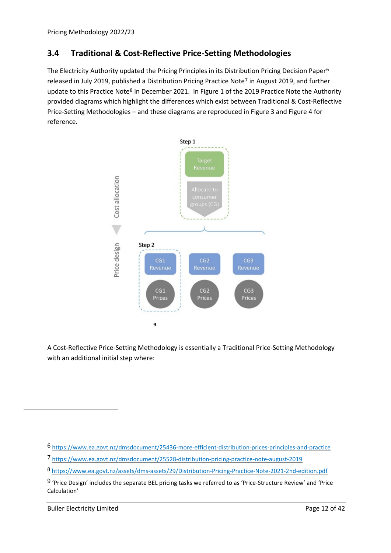### <span id="page-13-0"></span>**3.4 Traditional & Cost-Reflective Price-Setting Methodologies**

The Electricity Authority updated the Pricing Principles in its Distribution Pricing Decision Paper<sup>[6](#page-13-2)</sup> released in July 2019, published a Distribution Pricing Practice Note<sup>[7](#page-13-3)</sup> in August 2019, and further update to this Practice Note<sup>[8](#page-13-4)</sup> in December 2021. In Figure 1 of the 2019 Practice Note the Authority provided diagrams which highlight the differences which exist between Traditional & Cost-Reflective Price-Setting Methodologies – and these diagrams are reproduced in [Figure 3](#page-13-1) an[d Figure 4](#page-14-0) for reference.



<span id="page-13-1"></span>A Cost-Reflective Price-Setting Methodology is essentially a Traditional Price-Setting Methodology with an additional initial step where:

<span id="page-13-2"></span><sup>6</sup> <https://www.ea.govt.nz/dmsdocument/25436-more-efficient-distribution-prices-principles-and-practice>

<span id="page-13-3"></span><sup>7</sup> <https://www.ea.govt.nz/dmsdocument/25528-distribution-pricing-practice-note-august-2019>

<span id="page-13-4"></span><sup>8</sup> <https://www.ea.govt.nz/assets/dms-assets/29/Distribution-Pricing-Practice-Note-2021-2nd-edition.pdf>

<span id="page-13-5"></span><sup>9</sup> 'Price Design' includes the separate BEL pricing tasks we referred to as 'Price-Structure Review' and 'Price Calculation'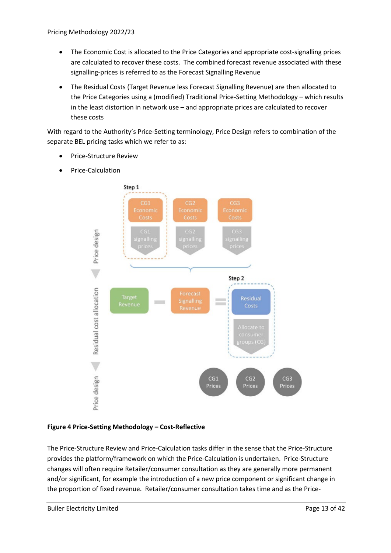- The Economic Cost is allocated to the Price Categories and appropriate cost-signalling prices are calculated to recover these costs. The combined forecast revenue associated with these signalling-prices is referred to as the Forecast Signalling Revenue
- The Residual Costs (Target Revenue less Forecast Signalling Revenue) are then allocated to the Price Categories using a (modified) Traditional Price-Setting Methodology – which results in the least distortion in network use – and appropriate prices are calculated to recover these costs

With regard to the Authority's Price-Setting terminology, Price Design refers to combination of the separate BEL pricing tasks which we refer to as:

- Price-Structure Review
- Price-Calculation



#### <span id="page-14-0"></span>**Figure 4 Price-Setting Methodology – Cost-Reflective**

The Price-Structure Review and Price-Calculation tasks differ in the sense that the Price-Structure provides the platform/framework on which the Price-Calculation is undertaken. Price-Structure changes will often require Retailer/consumer consultation as they are generally more permanent and/or significant, for example the introduction of a new price component or significant change in the proportion of fixed revenue. Retailer/consumer consultation takes time and as the Price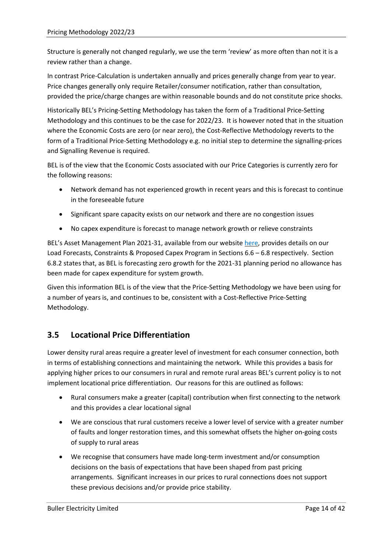Structure is generally not changed regularly, we use the term 'review' as more often than not it is a review rather than a change.

In contrast Price-Calculation is undertaken annually and prices generally change from year to year. Price changes generally only require Retailer/consumer notification, rather than consultation, provided the price/charge changes are within reasonable bounds and do not constitute price shocks.

Historically BEL's Pricing-Setting Methodology has taken the form of a Traditional Price-Setting Methodology and this continues to be the case for 2022/23. It is however noted that in the situation where the Economic Costs are zero (or near zero), the Cost-Reflective Methodology reverts to the form of a Traditional Price-Setting Methodology e.g. no initial step to determine the signalling-prices and Signalling Revenue is required.

BEL is of the view that the Economic Costs associated with our Price Categories is currently zero for the following reasons:

- Network demand has not experienced growth in recent years and this is forecast to continue in the foreseeable future
- Significant spare capacity exists on our network and there are no congestion issues
- No capex expenditure is forecast to manage network growth or relieve constraints

BEL's Asset Management Plan 2021-31, available from our website [here,](https://www.bullerelectricity.co.nz/asset-management-plan/) provides details on our Load Forecasts, Constraints & Proposed Capex Program in Sections 6.6 – 6.8 respectively. Section 6.8.2 states that, as BEL is forecasting zero growth for the 2021-31 planning period no allowance has been made for capex expenditure for system growth.

Given this information BEL is of the view that the Price-Setting Methodology we have been using for a number of years is, and continues to be, consistent with a Cost-Reflective Price-Setting Methodology.

#### <span id="page-15-0"></span>**3.5 Locational Price Differentiation**

Lower density rural areas require a greater level of investment for each consumer connection, both in terms of establishing connections and maintaining the network. While this provides a basis for applying higher prices to our consumers in rural and remote rural areas BEL's current policy is to not implement locational price differentiation. Our reasons for this are outlined as follows:

- Rural consumers make a greater (capital) contribution when first connecting to the network and this provides a clear locational signal
- We are conscious that rural customers receive a lower level of service with a greater number of faults and longer restoration times, and this somewhat offsets the higher on-going costs of supply to rural areas
- We recognise that consumers have made long-term investment and/or consumption decisions on the basis of expectations that have been shaped from past pricing arrangements. Significant increases in our prices to rural connections does not support these previous decisions and/or provide price stability.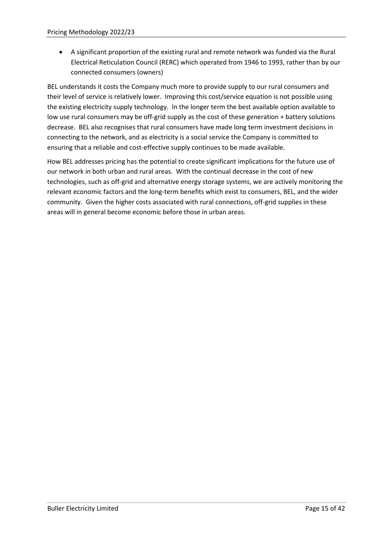• A significant proportion of the existing rural and remote network was funded via the Rural Electrical Reticulation Council (RERC) which operated from 1946 to 1993, rather than by our connected consumers (owners)

BEL understands it costs the Company much more to provide supply to our rural consumers and their level of service is relatively lower. Improving this cost/service equation is not possible using the existing electricity supply technology. In the longer term the best available option available to low use rural consumers may be off-grid supply as the cost of these generation + battery solutions decrease. BEL also recognises that rural consumers have made long term investment decisions in connecting to the network, and as electricity is a social service the Company is committed to ensuring that a reliable and cost-effective supply continues to be made available.

How BEL addresses pricing has the potential to create significant implications for the future use of our network in both urban and rural areas. With the continual decrease in the cost of new technologies, such as off-grid and alternative energy storage systems, we are actively monitoring the relevant economic factors and the long-term benefits which exist to consumers, BEL, and the wider community. Given the higher costs associated with rural connections, off-grid supplies in these areas will in general become economic before those in urban areas.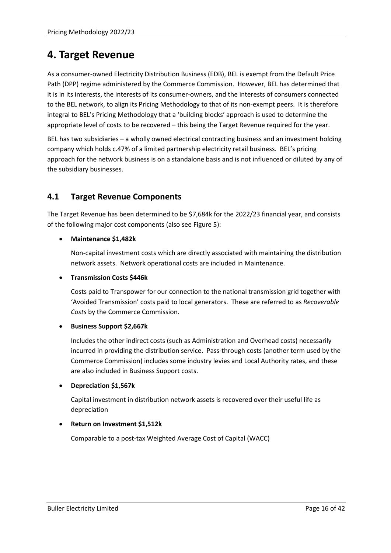# <span id="page-17-2"></span><span id="page-17-0"></span>**4. Target Revenue**

As a consumer-owned Electricity Distribution Business (EDB), BEL is exempt from the Default Price Path (DPP) regime administered by the Commerce Commission. However, BEL has determined that it is in its interests, the interests of its consumer-owners, and the interests of consumers connected to the BEL network, to align its Pricing Methodology to that of its non-exempt peers. It is therefore integral to BEL's Pricing Methodology that a 'building blocks' approach is used to determine the appropriate level of costs to be recovered – this being the Target Revenue required for the year.

BEL has two subsidiaries – a wholly owned electrical contracting business and an investment holding company which holds c.47% of a limited partnership electricity retail business. BEL's pricing approach for the network business is on a standalone basis and is not influenced or diluted by any of the subsidiary businesses.

#### <span id="page-17-1"></span>**4.1 Target Revenue Components**

The Target Revenue has been determined to be \$7,684k for the 2022/23 financial year, and consists of the following major cost components (also see [Figure 5\)](#page-18-3):

#### • **Maintenance \$1,482k**

Non-capital investment costs which are directly associated with maintaining the distribution network assets. Network operational costs are included in Maintenance.

#### • **Transmission Costs \$446k**

Costs paid to Transpower for our connection to the national transmission grid together with 'Avoided Transmission' costs paid to local generators. These are referred to as *Recoverable Costs* by the Commerce Commission.

#### • **Business Support \$2,667k**

Includes the other indirect costs (such as Administration and Overhead costs) necessarily incurred in providing the distribution service. Pass-through costs (another term used by the Commerce Commission) includes some industry levies and Local Authority rates, and these are also included in Business Support costs.

#### • **Depreciation \$1,567k**

Capital investment in distribution network assets is recovered over their useful life as depreciation

#### • **Return on Investment \$1,512k**

Comparable to a post-tax Weighted Average Cost of Capital (WACC)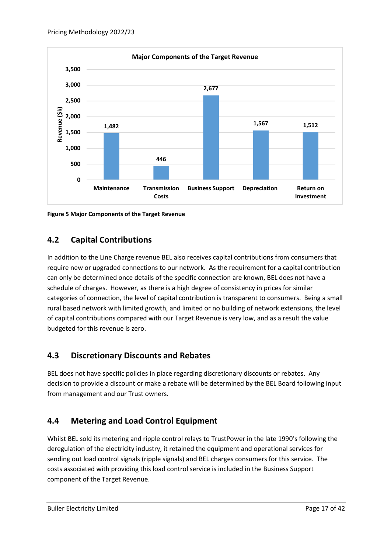

<span id="page-18-3"></span><span id="page-18-0"></span>**Figure 5 Major Components of the Target Revenue**

# **4.2 Capital Contributions**

In addition to the Line Charge revenue BEL also receives capital contributions from consumers that require new or upgraded connections to our network. As the requirement for a capital contribution can only be determined once details of the specific connection are known, BEL does not have a schedule of charges. However, as there is a high degree of consistency in prices for similar categories of connection, the level of capital contribution is transparent to consumers. Being a small rural based network with limited growth, and limited or no building of network extensions, the level of capital contributions compared with our Target Revenue is very low, and as a result the value budgeted for this revenue is zero.

# <span id="page-18-1"></span>**4.3 Discretionary Discounts and Rebates**

BEL does not have specific policies in place regarding discretionary discounts or rebates. Any decision to provide a discount or make a rebate will be determined by the BEL Board following input from management and our Trust owners.

# <span id="page-18-2"></span>**4.4 Metering and Load Control Equipment**

Whilst BEL sold its metering and ripple control relays to TrustPower in the late 1990's following the deregulation of the electricity industry, it retained the equipment and operational services for sending out load control signals (ripple signals) and BEL charges consumers for this service. The costs associated with providing this load control service is included in the Business Support component of the Target Revenue.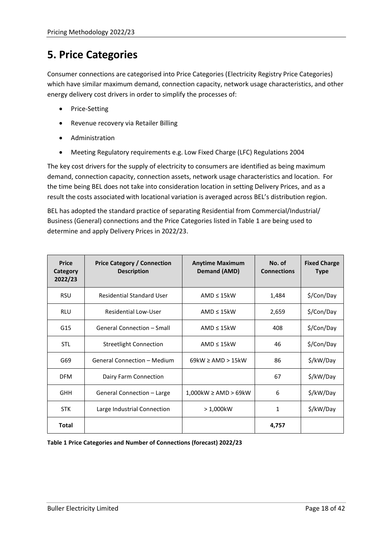# <span id="page-19-0"></span>**5. Price Categories**

Consumer connections are categorised into Price Categories (Electricity Registry Price Categories) which have similar maximum demand, connection capacity, network usage characteristics, and other energy delivery cost drivers in order to simplify the processes of:

- Price-Setting
- Revenue recovery via Retailer Billing
- Administration
- Meeting Regulatory requirements e.g. Low Fixed Charge (LFC) Regulations 2004

The key cost drivers for the supply of electricity to consumers are identified as being maximum demand, connection capacity, connection assets, network usage characteristics and location. For the time being BEL does not take into consideration location in setting Delivery Prices, and as a result the costs associated with locational variation is averaged across BEL's distribution region.

BEL has adopted the standard practice of separating Residential from Commercial/Industrial/ Business (General) connections and the Price Categories listed in [Table 1](#page-19-1) are being used to determine and apply Delivery Prices in 2022/23.

| <b>Price</b><br>Category<br>2022/23 | <b>Price Category / Connection</b><br><b>Description</b> | <b>Anytime Maximum</b><br>Demand (AMD) | No. of<br><b>Connections</b> | <b>Fixed Charge</b><br><b>Type</b> |
|-------------------------------------|----------------------------------------------------------|----------------------------------------|------------------------------|------------------------------------|
| <b>RSU</b>                          | <b>Residential Standard User</b>                         | AMD $\leq 15$ kW                       | 1,484                        | \$/Con/Day                         |
| <b>RLU</b>                          | Residential Low-User                                     | $AMD \leq 15kW$                        | 2,659                        | \$/Con/Day                         |
| G15                                 | <b>General Connection - Small</b>                        | AMD $\leq 15$ kW                       | 408                          | \$/Con/Day                         |
| <b>STL</b>                          | <b>Streetlight Connection</b>                            | $AMD \leq 15kW$                        | 46                           | \$/Con/Day                         |
| G69                                 | <b>General Connection - Medium</b>                       | $69kW \geq AMD > 15kW$                 | 86                           | \$/kW/Day                          |
| <b>DFM</b>                          | Dairy Farm Connection                                    |                                        | 67                           | \$/kW/Day                          |
| <b>GHH</b>                          | General Connection - Large                               | $1,000$ kW $\geq$ AMD $>$ 69kW         | 6                            | \$/kW/Day                          |
| <b>STK</b>                          | Large Industrial Connection                              | $>1,000k$ W                            | 1                            | \$/kW/Day                          |
| <b>Total</b>                        |                                                          |                                        | 4,757                        |                                    |

<span id="page-19-1"></span>**Table 1 Price Categories and Number of Connections (forecast) 2022/23**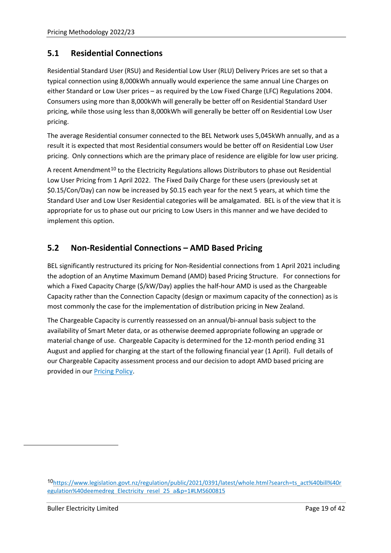#### <span id="page-20-0"></span>**5.1 Residential Connections**

Residential Standard User (RSU) and Residential Low User (RLU) Delivery Prices are set so that a typical connection using 8,000kWh annually would experience the same annual Line Charges on either Standard or Low User prices – as required by the Low Fixed Charge (LFC) Regulations 2004. Consumers using more than 8,000kWh will generally be better off on Residential Standard User pricing, while those using less than 8,000kWh will generally be better off on Residential Low User pricing.

The average Residential consumer connected to the BEL Network uses 5,045kWh annually, and as a result it is expected that most Residential consumers would be better off on Residential Low User pricing. Only connections which are the primary place of residence are eligible for low user pricing.

A recent Amendment<sup>[10](#page-20-2)</sup> to the Electricity Regulations allows Distributors to phase out Residential Low User Pricing from 1 April 2022. The Fixed Daily Charge for these users (previously set at \$0.15/Con/Day) can now be increased by \$0.15 each year for the next 5 years, at which time the Standard User and Low User Residential categories will be amalgamated. BEL is of the view that it is appropriate for us to phase out our pricing to Low Users in this manner and we have decided to implement this option.

### <span id="page-20-1"></span>**5.2 Non-Residential Connections – AMD Based Pricing**

BEL significantly restructured its pricing for Non-Residential connections from 1 April 2021 including the adoption of an Anytime Maximum Demand (AMD) based Pricing Structure. For connections for which a Fixed Capacity Charge (\$/kW/Day) applies the half-hour AMD is used as the Chargeable Capacity rather than the Connection Capacity (design or maximum capacity of the connection) as is most commonly the case for the implementation of distribution pricing in New Zealand.

The Chargeable Capacity is currently reassessed on an annual/bi-annual basis subject to the availability of Smart Meter data, or as otherwise deemed appropriate following an upgrade or material change of use. Chargeable Capacity is determined for the 12-month period ending 31 August and applied for charging at the start of the following financial year (1 April). Full details of our Chargeable Capacity assessment process and our decision to adopt AMD based pricing are provided in our Pricing Policy.

<span id="page-20-2"></span><sup>10</sup>[https://www.legislation.govt.nz/regulation/public/2021/0391/latest/whole.html?search=ts\\_act%40bill%40r](https://www.legislation.govt.nz/regulation/public/2021/0391/latest/whole.html?search=ts_act%40bill%40regulation%40deemedreg_Electricity_resel_25_a&p=1#LMS600815) [egulation%40deemedreg\\_Electricity\\_resel\\_25\\_a&p=1#LMS600815](https://www.legislation.govt.nz/regulation/public/2021/0391/latest/whole.html?search=ts_act%40bill%40regulation%40deemedreg_Electricity_resel_25_a&p=1#LMS600815)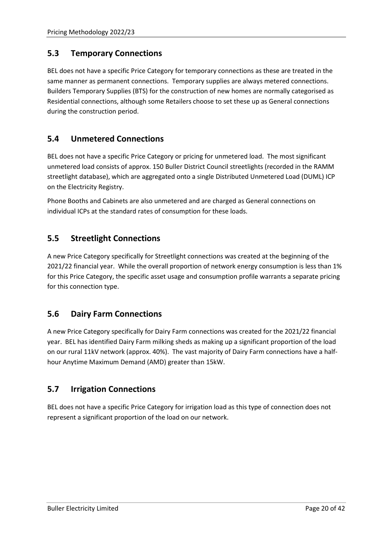#### <span id="page-21-0"></span>**5.3 Temporary Connections**

BEL does not have a specific Price Category for temporary connections as these are treated in the same manner as permanent connections. Temporary supplies are always metered connections. Builders Temporary Supplies (BTS) for the construction of new homes are normally categorised as Residential connections, although some Retailers choose to set these up as General connections during the construction period.

#### <span id="page-21-1"></span>**5.4 Unmetered Connections**

BEL does not have a specific Price Category or pricing for unmetered load. The most significant unmetered load consists of approx. 150 Buller District Council streetlights (recorded in the RAMM streetlight database), which are aggregated onto a single Distributed Unmetered Load (DUML) ICP on the Electricity Registry.

Phone Booths and Cabinets are also unmetered and are charged as General connections on individual ICPs at the standard rates of consumption for these loads.

#### <span id="page-21-2"></span>**5.5 Streetlight Connections**

A new Price Category specifically for Streetlight connections was created at the beginning of the 2021/22 financial year. While the overall proportion of network energy consumption is less than 1% for this Price Category, the specific asset usage and consumption profile warrants a separate pricing for this connection type.

#### <span id="page-21-3"></span>**5.6 Dairy Farm Connections**

A new Price Category specifically for Dairy Farm connections was created for the 2021/22 financial year. BEL has identified Dairy Farm milking sheds as making up a significant proportion of the load on our rural 11kV network (approx. 40%). The vast majority of Dairy Farm connections have a halfhour Anytime Maximum Demand (AMD) greater than 15kW.

#### <span id="page-21-4"></span>**5.7 Irrigation Connections**

BEL does not have a specific Price Category for irrigation load as this type of connection does not represent a significant proportion of the load on our network.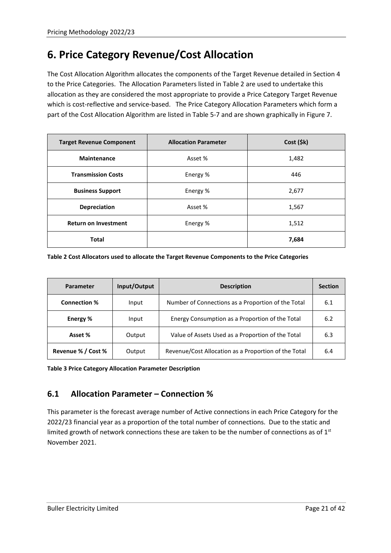# <span id="page-22-0"></span>**6. Price Category Revenue/Cost Allocation**

The Cost Allocation Algorithm allocates the components of the Target Revenue detailed in Section [4](#page-17-2) to the Price Categories. The Allocation Parameters listed in [Table 2](#page-22-2) are used to undertake this allocation as they are considered the most appropriate to provide a Price Category Target Revenue which is cost-reflective and service-based. The Price Category Allocation Parameters which form a part of the Cost Allocation Algorithm are listed in Table 5-7 and are shown graphically in Figure 7.

| <b>Target Revenue Component</b> | <b>Allocation Parameter</b> | Cost ( \$k\$) |
|---------------------------------|-----------------------------|---------------|
| <b>Maintenance</b>              | Asset %                     | 1,482         |
| <b>Transmission Costs</b>       | Energy %                    | 446           |
| <b>Business Support</b>         | Energy %                    | 2,677         |
| <b>Depreciation</b>             | Asset %                     | 1,567         |
| <b>Return on Investment</b>     | Energy %                    | 1,512         |
| <b>Total</b>                    |                             | 7,684         |

<span id="page-22-2"></span>**Table 2 Cost Allocators used to allocate the Target Revenue Components to the Price Categories**

| <b>Parameter</b>    | Input/Output | <b>Description</b>                                   | <b>Section</b> |
|---------------------|--------------|------------------------------------------------------|----------------|
| <b>Connection %</b> | Input        | Number of Connections as a Proportion of the Total   | 6.1            |
| Energy %            | Input        | Energy Consumption as a Proportion of the Total      | 6.2            |
| Asset %             | Output       | Value of Assets Used as a Proportion of the Total    | 6.3            |
| Revenue % / Cost %  | Output       | Revenue/Cost Allocation as a Proportion of the Total | 6.4            |

<span id="page-22-1"></span>**Table 3 Price Category Allocation Parameter Description**

# **6.1 Allocation Parameter – Connection %**

This parameter is the forecast average number of Active connections in each Price Category for the 2022/23 financial year as a proportion of the total number of connections. Due to the static and limited growth of network connections these are taken to be the number of connections as of  $1<sup>st</sup>$ November 2021.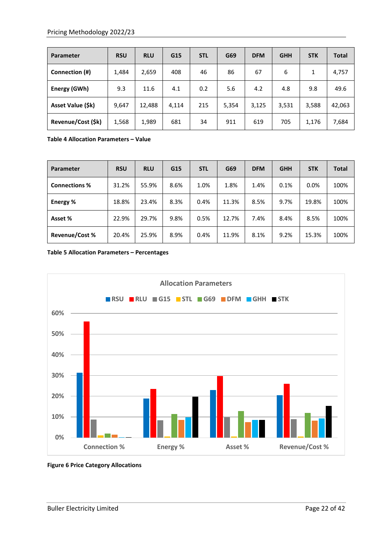| Parameter                | <b>RSU</b> | <b>RLU</b> | G15   | <b>STL</b> | G69   | <b>DFM</b> | <b>GHH</b> | <b>STK</b> | <b>Total</b> |
|--------------------------|------------|------------|-------|------------|-------|------------|------------|------------|--------------|
| Connection (#)           | 1,484      | 2,659      | 408   | 46         | 86    | 67         | 6          | 1          | 4,757        |
| Energy (GWh)             | 9.3        | 11.6       | 4.1   | 0.2        | 5.6   | 4.2        | 4.8        | 9.8        | 49.6         |
| <b>Asset Value (\$k)</b> | 9,647      | 12,488     | 4,114 | 215        | 5,354 | 3,125      | 3,531      | 3,588      | 42,063       |
| Revenue/Cost (\$k)       | 1,568      | 1,989      | 681   | 34         | 911   | 619        | 705        | 1,176      | 7,684        |

**Table 4 Allocation Parameters – Value**

| Parameter             | <b>RSU</b> | <b>RLU</b> | G15  | <b>STL</b> | G69   | <b>DFM</b> | <b>GHH</b> | <b>STK</b> | <b>Total</b> |
|-----------------------|------------|------------|------|------------|-------|------------|------------|------------|--------------|
| <b>Connections %</b>  | 31.2%      | 55.9%      | 8.6% | 1.0%       | 1.8%  | 1.4%       | 0.1%       | 0.0%       | 100%         |
| Energy %              | 18.8%      | 23.4%      | 8.3% | 0.4%       | 11.3% | 8.5%       | 9.7%       | 19.8%      | 100%         |
| Asset %               | 22.9%      | 29.7%      | 9.8% | 0.5%       | 12.7% | 7.4%       | 8.4%       | 8.5%       | 100%         |
| <b>Revenue/Cost %</b> | 20.4%      | 25.9%      | 8.9% | 0.4%       | 11.9% | 8.1%       | 9.2%       | 15.3%      | 100%         |

**Table 5 Allocation Parameters – Percentages**



**Figure 6 Price Category Allocations**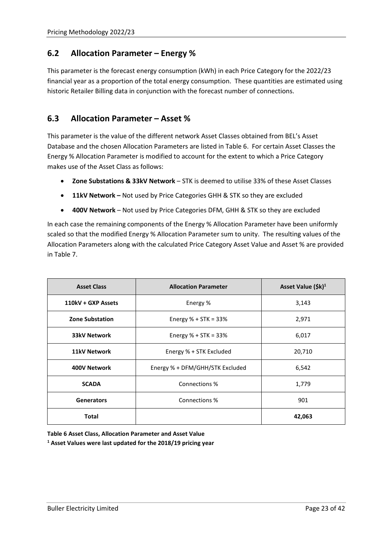#### <span id="page-24-0"></span>**6.2 Allocation Parameter – Energy %**

This parameter is the forecast energy consumption (kWh) in each Price Category for the 2022/23 financial year as a proportion of the total energy consumption. These quantities are estimated using historic Retailer Billing data in conjunction with the forecast number of connections.

#### <span id="page-24-1"></span>**6.3 Allocation Parameter – Asset %**

This parameter is the value of the different network Asset Classes obtained from BEL's Asset Database and the chosen Allocation Parameters are listed i[n Table 6.](#page-24-2) For certain Asset Classes the Energy % Allocation Parameter is modified to account for the extent to which a Price Category makes use of the Asset Class as follows:

- **Zone Substations & 33kV Network** STK is deemed to utilise 33% of these Asset Classes
- **11kV Network –** Not used by Price Categories GHH & STK so they are excluded
- **400V Network**  Not used by Price Categories DFM, GHH & STK so they are excluded

In each case the remaining components of the Energy % Allocation Parameter have been uniformly scaled so that the modified Energy % Allocation Parameter sum to unity. The resulting values of the Allocation Parameters along with the calculated Price Category Asset Value and Asset % are provided in [Table 7.](#page-25-1)

| <b>Asset Class</b>     | <b>Allocation Parameter</b>     | Asset Value (\$k) <sup>1</sup> |  |  |
|------------------------|---------------------------------|--------------------------------|--|--|
| 110kV + GXP Assets     | Energy %                        | 3,143                          |  |  |
| <b>Zone Substation</b> | Energy $% + STK = 33%$          | 2,971                          |  |  |
| <b>33kV Network</b>    | Energy $% + STK = 33%$          | 6,017                          |  |  |
| <b>11kV Network</b>    | Energy % + STK Excluded         | 20,710                         |  |  |
| 400V Network           | Energy % + DFM/GHH/STK Excluded | 6,542                          |  |  |
| <b>SCADA</b>           | Connections %                   | 1,779                          |  |  |
| <b>Generators</b>      | Connections %                   | 901                            |  |  |
| <b>Total</b>           |                                 | 42,063                         |  |  |

<span id="page-24-2"></span>**Table 6 Asset Class, Allocation Parameter and Asset Value**

**<sup>1</sup> Asset Values were last updated for the 2018/19 pricing year**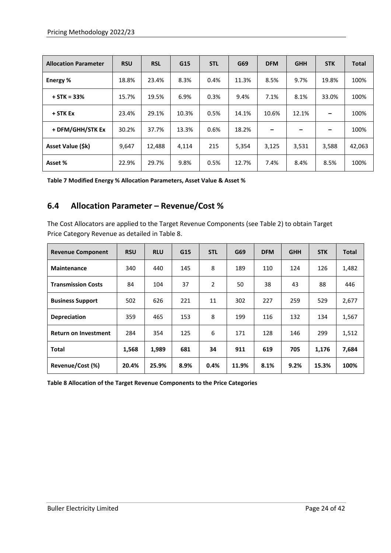| <b>Allocation Parameter</b> | <b>RSU</b> | <b>RSL</b> | G15   | <b>STL</b> | G69   | <b>DFM</b> | <b>GHH</b> | <b>STK</b> | <b>Total</b> |
|-----------------------------|------------|------------|-------|------------|-------|------------|------------|------------|--------------|
| Energy %                    | 18.8%      | 23.4%      | 8.3%  | 0.4%       | 11.3% | 8.5%       | 9.7%       | 19.8%      | 100%         |
| $+$ STK = 33%               | 15.7%      | 19.5%      | 6.9%  | 0.3%       | 9.4%  | 7.1%       | 8.1%       | 33.0%      | 100%         |
| + STK Ex                    | 23.4%      | 29.1%      | 10.3% | 0.5%       | 14.1% | 10.6%      | 12.1%      |            | 100%         |
| + DFM/GHH/STK Ex            | 30.2%      | 37.7%      | 13.3% | 0.6%       | 18.2% |            |            |            | 100%         |
| Asset Value (\$k)           | 9,647      | 12,488     | 4,114 | 215        | 5,354 | 3,125      | 3,531      | 3,588      | 42,063       |
| Asset %                     | 22.9%      | 29.7%      | 9.8%  | 0.5%       | 12.7% | 7.4%       | 8.4%       | 8.5%       | 100%         |

<span id="page-25-1"></span><span id="page-25-0"></span>**Table 7 Modified Energy % Allocation Parameters, Asset Value & Asset %**

#### **6.4 Allocation Parameter – Revenue/Cost %**

The Cost Allocators are applied to the Target Revenue Components (see [Table 2\)](#page-22-2) to obtain Target Price Category Revenue as detailed in [Table 8.](#page-25-2)

| <b>Revenue Component</b>    | <b>RSU</b> | <b>RLU</b> | G15  | <b>STL</b>     | G69   | <b>DFM</b> | <b>GHH</b> | <b>STK</b> | <b>Total</b> |
|-----------------------------|------------|------------|------|----------------|-------|------------|------------|------------|--------------|
| <b>Maintenance</b>          | 340        | 440        | 145  | 8              | 189   | 110        | 124        | 126        | 1,482        |
| <b>Transmission Costs</b>   | 84         | 104        | 37   | $\overline{2}$ | 50    | 38         | 43         | 88         | 446          |
| <b>Business Support</b>     | 502        | 626        | 221  | 11             | 302   | 227        | 259        | 529        | 2,677        |
| <b>Depreciation</b>         | 359        | 465        | 153  | 8              | 199   | 116        | 132        | 134        | 1,567        |
| <b>Return on Investment</b> | 284        | 354        | 125  | 6              | 171   | 128        | 146        | 299        | 1,512        |
| <b>Total</b>                | 1,568      | 1,989      | 681  | 34             | 911   | 619        | 705        | 1,176      | 7,684        |
| Revenue/Cost (%)            | 20.4%      | 25.9%      | 8.9% | 0.4%           | 11.9% | 8.1%       | 9.2%       | 15.3%      | 100%         |

<span id="page-25-2"></span>**Table 8 Allocation of the Target Revenue Components to the Price Categories**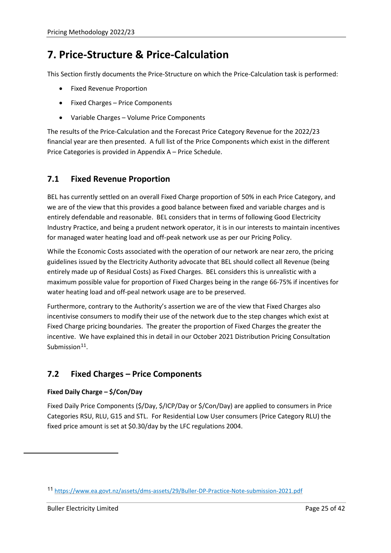# <span id="page-26-0"></span>**7. Price-Structure & Price-Calculation**

This Section firstly documents the Price-Structure on which the Price-Calculation task is performed:

- Fixed Revenue Proportion
- Fixed Charges Price Components
- Variable Charges Volume Price Components

The results of the Price-Calculation and the Forecast Price Category Revenue for the 2022/23 financial year are then presented. A full list of the Price Components which exist in the different Price Categories is provided in Appendix A – Price Schedule.

#### <span id="page-26-1"></span>**7.1 Fixed Revenue Proportion**

BEL has currently settled on an overall Fixed Charge proportion of 50% in each Price Category, and we are of the view that this provides a good balance between fixed and variable charges and is entirely defendable and reasonable. BEL considers that in terms of following Good Electricity Industry Practice, and being a prudent network operator, it is in our interests to maintain incentives for managed water heating load and off-peak network use as per our Pricing Policy.

While the Economic Costs associated with the operation of our network are near zero, the pricing guidelines issued by the Electricity Authority advocate that BEL should collect all Revenue (being entirely made up of Residual Costs) as Fixed Charges. BEL considers this is unrealistic with a maximum possible value for proportion of Fixed Charges being in the range 66-75% if incentives for water heating load and off-peal network usage are to be preserved.

Furthermore, contrary to the Authority's assertion we are of the view that Fixed Charges also incentivise consumers to modify their use of the network due to the step changes which exist at Fixed Charge pricing boundaries. The greater the proportion of Fixed Charges the greater the incentive. We have explained this in detail in our October 2021 Distribution Pricing Consultation Submission $11$ .

# <span id="page-26-2"></span>**7.2 Fixed Charges – Price Components**

#### **Fixed Daily Charge – \$/Con/Day**

Fixed Daily Price Components (\$/Day, \$/ICP/Day or \$/Con/Day) are applied to consumers in Price Categories RSU, RLU, G15 and STL. For Residential Low User consumers (Price Category RLU) the fixed price amount is set at \$0.30/day by the LFC regulations 2004.

<span id="page-26-3"></span><sup>11</sup> <https://www.ea.govt.nz/assets/dms-assets/29/Buller-DP-Practice-Note-submission-2021.pdf>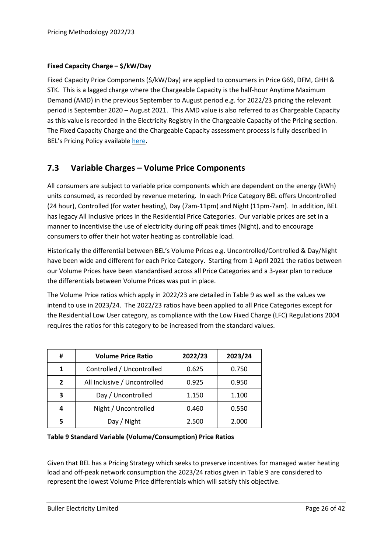#### **Fixed Capacity Charge – \$/kW/Day**

Fixed Capacity Price Components (\$/kW/Day) are applied to consumers in Price G69, DFM, GHH & STK. This is a lagged charge where the Chargeable Capacity is the half-hour Anytime Maximum Demand (AMD) in the previous September to August period e.g. for 2022/23 pricing the relevant period is September 2020 – August 2021. This AMD value is also referred to as Chargeable Capacity as this value is recorded in the Electricity Registry in the Chargeable Capacity of the Pricing section. The Fixed Capacity Charge and the Chargeable Capacity assessment process is fully described in BEL's Pricing Policy available [here.](https://bullerelectricity.co.nz/pricing/)

#### <span id="page-27-0"></span>**7.3 Variable Charges – Volume Price Components**

All consumers are subject to variable price components which are dependent on the energy (kWh) units consumed, as recorded by revenue metering. In each Price Category BEL offers Uncontrolled (24 hour), Controlled (for water heating), Day (7am-11pm) and Night (11pm-7am). In addition, BEL has legacy All Inclusive prices in the Residential Price Categories. Our variable prices are set in a manner to incentivise the use of electricity during off peak times (Night), and to encourage consumers to offer their hot water heating as controllable load.

Historically the differential between BEL's Volume Prices e.g. Uncontrolled/Controlled & Day/Night have been wide and different for each Price Category. Starting from 1 April 2021 the ratios between our Volume Prices have been standardised across all Price Categories and a 3-year plan to reduce the differentials between Volume Prices was put in place.

The Volume Price ratios which apply in 2022/23 are detailed i[n Table 9](#page-27-1) as well as the values we intend to use in 2023/24. The 2022/23 ratios have been applied to all Price Categories except for the Residential Low User category, as compliance with the Low Fixed Charge (LFC) Regulations 2004 requires the ratios for this category to be increased from the standard values.

| #              | <b>Volume Price Ratio</b>    | 2022/23 | 2023/24 |
|----------------|------------------------------|---------|---------|
| 1              | Controlled / Uncontrolled    | 0.625   | 0.750   |
| $\overline{2}$ | All Inclusive / Uncontrolled | 0.925   | 0.950   |
| 3              | Day / Uncontrolled           | 1.150   | 1.100   |
| 4              | Night / Uncontrolled         | 0.460   | 0.550   |
|                | Day / Night                  | 2.500   | 2.000   |

<span id="page-27-1"></span>**Table 9 Standard Variable (Volume/Consumption) Price Ratios**

Given that BEL has a Pricing Strategy which seeks to preserve incentives for managed water heating load and off-peak network consumption the 2023/24 ratios given in [Table 9](#page-27-1) are considered to represent the lowest Volume Price differentials which will satisfy this objective.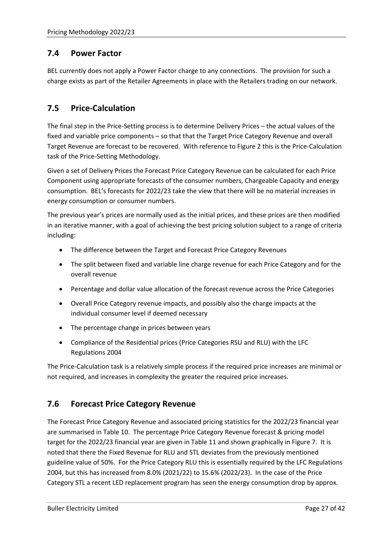#### <span id="page-28-0"></span>**7.4 Power Factor**

BEL currently does not apply a Power Factor charge to any connections. The provision for such a charge exists as part of the Retailer Agreements in place with the Retailers trading on our network.

#### <span id="page-28-1"></span>**7.5 Price-Calculation**

The final step in the Price-Setting process is to determine Delivery Prices – the actual values of the fixed and variable price components – so that that the Target Price Category Revenue and overall Target Revenue are forecast to be recovered. With reference to [Figure 2](#page-12-0) this is the Price-Calculation task of the Price-Setting Methodology.

Given a set of Delivery Prices the Forecast Price Category Revenue can be calculated for each Price Component using appropriate forecasts of the consumer numbers, Chargeable Capacity and energy consumption. BEL's forecasts for 2022/23 take the view that there will be no material increases in energy consumption or consumer numbers.

The previous year's prices are normally used as the initial prices, and these prices are then modified in an iterative manner, with a goal of achieving the best pricing solution subject to a range of criteria including:

- The difference between the Target and Forecast Price Category Revenues
- The split between fixed and variable line charge revenue for each Price Category and for the overall revenue
- Percentage and dollar value allocation of the forecast revenue across the Price Categories
- Overall Price Category revenue impacts, and possibly also the charge impacts at the individual consumer level if deemed necessary
- The percentage change in prices between years
- Compliance of the Residential prices (Price Categories RSU and RLU) with the LFC Regulations 2004

The Price-Calculation task is a relatively simple process if the required price increases are minimal or not required, and increases in complexity the greater the required price increases.

#### <span id="page-28-2"></span>**7.6 Forecast Price Category Revenue**

The Forecast Price Category Revenue and associated pricing statistics for the 2022/23 financial year are summarised in [Table 10.](#page-29-0) The percentage Price Category Revenue forecast & pricing model target for the 2022/23 financial year are given in [Table 11](#page-30-1) and shown graphically in [Figure 7.](#page-29-1) It is noted that there the Fixed Revenue for RLU and STL deviates from the previously mentioned guideline value of 50%. For the Price Category RLU this is essentially required by the LFC Regulations 2004, but this has increased from 8.0% (2021/22) to 15.6% (2022/23). In the case of the Price Category STL a recent LED replacement program has seen the energy consumption drop by approx.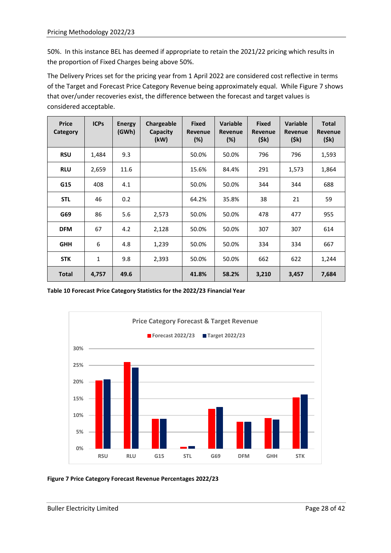50%. In this instance BEL has deemed if appropriate to retain the 2021/22 pricing which results in the proportion of Fixed Charges being above 50%.

The Delivery Prices set for the pricing year from 1 April 2022 are considered cost reflective in terms of the Target and Forecast Price Category Revenue being approximately equal. While [Figure 7](#page-29-1) shows that over/under recoveries exist, the difference between the forecast and target values is considered acceptable.

| <b>Price</b><br>Category | <b>ICPs</b>  | <b>Energy</b><br>(GWh) | Chargeable<br>Capacity<br>(kW) | <b>Fixed</b><br>Revenue<br>(%) | <b>Variable</b><br>Revenue<br>(%) | <b>Fixed</b><br>Revenue<br>(5k) | <b>Variable</b><br>Revenue<br>(5k) | <b>Total</b><br><b>Revenue</b><br>(5k) |
|--------------------------|--------------|------------------------|--------------------------------|--------------------------------|-----------------------------------|---------------------------------|------------------------------------|----------------------------------------|
| <b>RSU</b>               | 1,484        | 9.3                    |                                | 50.0%                          | 50.0%                             | 796                             | 796                                | 1,593                                  |
| <b>RLU</b>               | 2,659        | 11.6                   |                                | 15.6%                          | 84.4%                             | 291                             | 1,573                              | 1,864                                  |
| G15                      | 408          | 4.1                    |                                | 50.0%                          | 50.0%                             | 344                             | 344                                | 688                                    |
| <b>STL</b>               | 46           | 0.2                    |                                | 64.2%                          | 35.8%                             | 38                              | 21                                 | 59                                     |
| G69                      | 86           | 5.6                    | 2,573                          | 50.0%                          | 50.0%                             | 478                             | 477                                | 955                                    |
| <b>DFM</b>               | 67           | 4.2                    | 2,128                          | 50.0%                          | 50.0%                             | 307                             | 307                                | 614                                    |
| <b>GHH</b>               | 6            | 4.8                    | 1,239                          | 50.0%                          | 50.0%                             | 334                             | 334                                | 667                                    |
| <b>STK</b>               | $\mathbf{1}$ | 9.8                    | 2,393                          | 50.0%                          | 50.0%                             | 662                             | 622                                | 1,244                                  |
| <b>Total</b>             | 4,757        | 49.6                   |                                | 41.8%                          | 58.2%                             | 3,210                           | 3,457                              | 7,684                                  |

<span id="page-29-0"></span>**Table 10 Forecast Price Category Statistics for the 2022/23 Financial Year**



<span id="page-29-1"></span>**Figure 7 Price Category Forecast Revenue Percentages 2022/23**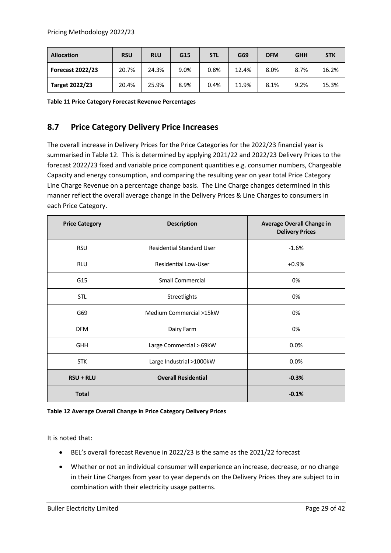| <b>Allocation</b>       | <b>RSU</b> | <b>RLU</b> | G15  | <b>STL</b> | G69   | <b>DFM</b> | <b>GHH</b> | <b>STK</b> |
|-------------------------|------------|------------|------|------------|-------|------------|------------|------------|
| <b>Forecast 2022/23</b> | 20.7%      | 24.3%      | 9.0% | 0.8%       | 12.4% | 8.0%       | 8.7%       | 16.2%      |
| Target 2022/23          | 20.4%      | 25.9%      | 8.9% | 0.4%       | 11.9% | 8.1%       | 9.2%       | 15.3%      |

<span id="page-30-1"></span><span id="page-30-0"></span>**Table 11 Price Category Forecast Revenue Percentages**

# **8.7 Price Category Delivery Price Increases**

The overall increase in Delivery Prices for the Price Categories for the 2022/23 financial year is summarised in [Table 12.](#page-30-2) This is determined by applying 2021/22 and 2022/23 Delivery Prices to the forecast 2022/23 fixed and variable price component quantities e.g. consumer numbers, Chargeable Capacity and energy consumption, and comparing the resulting year on year total Price Category Line Charge Revenue on a percentage change basis. The Line Charge changes determined in this manner reflect the overall average change in the Delivery Prices & Line Charges to consumers in each Price Category.

| <b>Price Category</b> | <b>Description</b>               | <b>Average Overall Change in</b><br><b>Delivery Prices</b> |  |
|-----------------------|----------------------------------|------------------------------------------------------------|--|
| <b>RSU</b>            | <b>Residential Standard User</b> | $-1.6%$                                                    |  |
| <b>RLU</b>            | Residential Low-User             | $+0.9%$                                                    |  |
| G15                   | Small Commercial                 | 0%                                                         |  |
| <b>STL</b>            | Streetlights                     | 0%                                                         |  |
| G69                   | Medium Commercial >15kW          | 0%                                                         |  |
| <b>DFM</b>            | Dairy Farm                       | 0%                                                         |  |
| <b>GHH</b>            | Large Commercial > 69kW          | 0.0%                                                       |  |
| <b>STK</b>            | Large Industrial >1000kW         | 0.0%                                                       |  |
| <b>RSU + RLU</b>      | <b>Overall Residential</b>       | $-0.3%$                                                    |  |
| <b>Total</b>          |                                  | $-0.1%$                                                    |  |

#### <span id="page-30-2"></span>**Table 12 Average Overall Change in Price Category Delivery Prices**

It is noted that:

- BEL's overall forecast Revenue in 2022/23 is the same as the 2021/22 forecast
- Whether or not an individual consumer will experience an increase, decrease, or no change in their Line Charges from year to year depends on the Delivery Prices they are subject to in combination with their electricity usage patterns.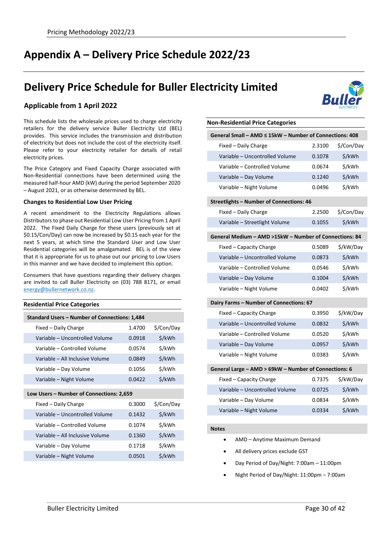# <span id="page-31-0"></span>**Appendix A – Delivery Price Schedule 2022/23**

# **Delivery Price Schedule for Buller Electricity Limited**



This schedule lists the wholesale prices used to charge electricity retailers for the delivery service Buller Electricity Ltd (BEL) provides. This service includes the transmission and distribution of electricity but does not include the cost of the electricity itself. Please refer to your electricity retailer for details of retail electricity prices.

The Price Category and Fixed Capacity Charge associated with Non-Residential connections have been determined using the measured half-hour AMD (kW) during the period September 2020 – August 2021, or as otherwise determined by BEL.

#### **Changes to Residential Low User Pricing**

A recent amendment to the Electricity Regulations allows Distributors to phase out Residential Low User Pricing from 1 April 2022. The Fixed Daily Charge for these users (previously set at \$0.15/Con/Day) can now be increased by \$0.15 each year for the next 5 years, at which time the Standard User and Low User Residential categories will be amalgamated. BEL is of the view that it is appropriate for us to phase out our pricing to Low Users in this manner and we have decided to implement this option.

Consumers that have questions regarding their delivery charges are invited to call Buller Electricity on (03) 788 8171, or email [energy@bullernetwork.co.nz.](mailto:energy@bullernetwork.co.nz)

| <b>Residential Price Categories</b>           |        |            |  |
|-----------------------------------------------|--------|------------|--|
| Standard Users - Number of Connections: 1,484 |        |            |  |
| Fixed - Daily Charge                          | 1.4700 | \$/Con/Day |  |
| Variable - Uncontrolled Volume                | 0.0918 | \$/kWh     |  |
| Variable - Controlled Volume                  | 0.0574 | \$/kWh     |  |
| Variable - All Inclusive Volume               | 0.0849 | \$/kWh     |  |
| Variable – Day Volume                         | 0.1056 | \$/kWh     |  |
| Variable - Night Volume                       | 0.0422 | \$/kWh     |  |
| Low Users - Number of Connections: 2,659      |        |            |  |
| Fixed - Daily Charge                          | 0.3000 | \$/Con/Day |  |
| Variable - Uncontrolled Volume                | 0.1432 | \$/kWh     |  |
| Variable – Controlled Volume                  | 0.1074 | \$/kWh     |  |
| Variable - All Inclusive Volume               | 0.1360 | \$/kWh     |  |
| Variable – Day Volume                         | 0.1718 | \$/kWh     |  |
| Variable - Night Volume                       | 0.0501 | \$/kWh     |  |



# **Non-Residential Price Categories General Small – AMD ≤ 15kW – Number of Connections: 408** Fixed – Daily Charge 2.3100 \$/Con/Day Variable – Uncontrolled Volume 0.1078 \$/kWh Variable – Controlled Volume 0.0674 \$/kWh Variable – Day Volume 0.1240 \$/kWh Variable – Night Volume 0.0496 \$/kWh **Streetlights – Number of Connections: 46** Fixed – Daily Charge 2.2500 \$/Con/Day Variable – Streetlight Volume 0.1055 \$/kWh **General Medium – AMD >15kW – Number of Connections: 84** Fixed – Capacity Charge **0.5089** \$/kW/Day Variable – Uncontrolled Volume 0.0873 \$/kWh Variable – Controlled Volume 0.0546 \$/kWh Variable – Day Volume 0.1004 \$/kWh Variable – Night Volume 0.0402 \$/kWh **Dairy Farms – Number of Connections: 67** Fixed – Capacity Charge **0.3950** \$/kW/Day Variable – Uncontrolled Volume 0.0832 \$/kWh Variable – Controlled Volume 0.0520 \$/kWh Variable – Day Volume 0.0957 \$/kWh Variable – Night Volume 0.0383 \$/kWh **General Large – AMD > 69kW – Number of Connections: 6** Fixed – Capacity Charge **1.1388 Example 2.7375** \$/kW/Day Variable – Uncontrolled Volume 0.0725 \$/kWh Variable – Day Volume 0.0834 \$/kWh

#### **Notes**

- AMD Anytime Maximum Demand
- All delivery prices exclude GST
- Day Period of Day/Night: 7:00am 11:00pm

Variable – Night Volume 0.0334 \$/kWh

• Night Period of Day/Night: 11:00pm – 7:00am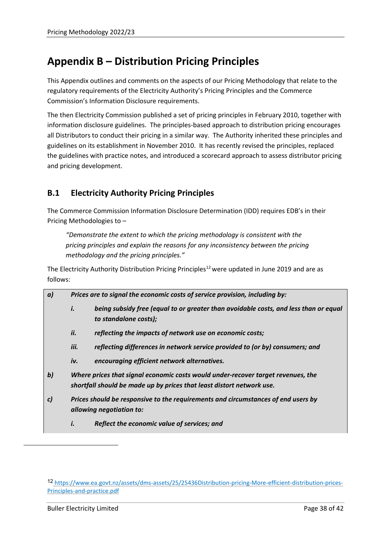# <span id="page-32-0"></span>**Appendix B – Distribution Pricing Principles**

This Appendix outlines and comments on the aspects of our Pricing Methodology that relate to the regulatory requirements of the Electricity Authority's Pricing Principles and the Commerce Commission's Information Disclosure requirements.

The then Electricity Commission published a set of pricing principles in February 2010, together with information disclosure guidelines. The principles-based approach to distribution pricing encourages all Distributors to conduct their pricing in a similar way. The Authority inherited these principles and guidelines on its establishment in November 2010. It has recently revised the principles, replaced the guidelines with practice notes, and introduced a scorecard approach to assess distributor pricing and pricing development.

# <span id="page-32-1"></span>**B.1 Electricity Authority Pricing Principles**

The Commerce Commission Information Disclosure Determination (IDD) requires EDB's in their Pricing Methodologies to –

*"Demonstrate the extent to which the pricing methodology is consistent with the pricing principles and explain the reasons for any inconsistency between the pricing methodology and the pricing principles."*

The Electricity Authority Distribution Pricing Principles<sup>[12](#page-32-2)</sup> were updated in June 2019 and are as follows:

| a)           |                                                                                                                                                           | Prices are to signal the economic costs of service provision, including by:                                   |  |  |  |  |
|--------------|-----------------------------------------------------------------------------------------------------------------------------------------------------------|---------------------------------------------------------------------------------------------------------------|--|--|--|--|
|              | i.                                                                                                                                                        | being subsidy free (equal to or greater than avoidable costs, and less than or equal<br>to standalone costs); |  |  |  |  |
|              | ii.                                                                                                                                                       | reflecting the impacts of network use on economic costs;                                                      |  |  |  |  |
|              | iii.                                                                                                                                                      | reflecting differences in network service provided to (or by) consumers; and                                  |  |  |  |  |
|              | iv.                                                                                                                                                       | encouraging efficient network alternatives.                                                                   |  |  |  |  |
| $\mathbf{b}$ | Where prices that signal economic costs would under-recover target revenues, the<br>shortfall should be made up by prices that least distort network use. |                                                                                                               |  |  |  |  |
| C)           | Prices should be responsive to the requirements and circumstances of end users by<br>allowing negotiation to:                                             |                                                                                                               |  |  |  |  |
|              | i.                                                                                                                                                        | Reflect the economic value of services; and                                                                   |  |  |  |  |

<span id="page-32-2"></span><sup>12</sup> [https://www.ea.govt.nz/assets/dms-assets/25/25436Distribution-pricing-More-efficient-distribution-prices-](https://www.ea.govt.nz/assets/dms-assets/25/25436Distribution-pricing-More-efficient-distribution-prices-Principles-and-practice.pdf)[Principles-and-practice.pdf](https://www.ea.govt.nz/assets/dms-assets/25/25436Distribution-pricing-More-efficient-distribution-prices-Principles-and-practice.pdf)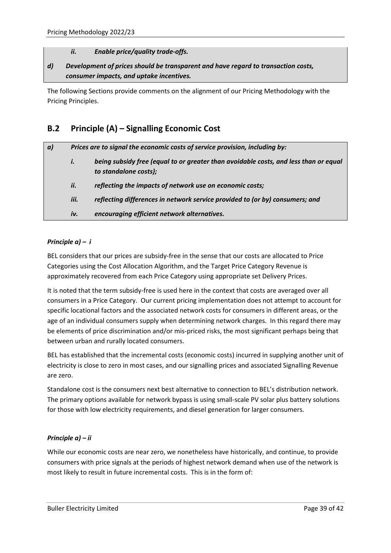#### *ii. Enable price/quality trade-offs.*

#### *d) Development of prices should be transparent and have regard to transaction costs, consumer impacts, and uptake incentives.*

The following Sections provide comments on the alignment of our Pricing Methodology with the Pricing Principles.

# <span id="page-33-0"></span>**B.2 Principle (A) – Signalling Economic Cost**

| a) | Prices are to signal the economic costs of service provision, including by: |                                                                                                               |  |
|----|-----------------------------------------------------------------------------|---------------------------------------------------------------------------------------------------------------|--|
|    | i.                                                                          | being subsidy free (equal to or greater than avoidable costs, and less than or equal<br>to standalone costs); |  |
|    | ii.                                                                         | reflecting the impacts of network use on economic costs;                                                      |  |
|    | iii.                                                                        | reflecting differences in network service provided to (or by) consumers; and                                  |  |
|    | iv.                                                                         | encouraging efficient network alternatives.                                                                   |  |

#### *Principle a) – i*

BEL considers that our prices are subsidy-free in the sense that our costs are allocated to Price Categories using the Cost Allocation Algorithm, and the Target Price Category Revenue is approximately recovered from each Price Category using appropriate set Delivery Prices.

It is noted that the term subsidy-free is used here in the context that costs are averaged over all consumers in a Price Category. Our current pricing implementation does not attempt to account for specific locational factors and the associated network costs for consumers in different areas, or the age of an individual consumers supply when determining network charges. In this regard there may be elements of price discrimination and/or mis-priced risks, the most significant perhaps being that between urban and rurally located consumers.

BEL has established that the incremental costs (economic costs) incurred in supplying another unit of electricity is close to zero in most cases, and our signalling prices and associated Signalling Revenue are zero.

Standalone cost is the consumers next best alternative to connection to BEL's distribution network. The primary options available for network bypass is using small-scale PV solar plus battery solutions for those with low electricity requirements, and diesel generation for larger consumers.

#### *Principle a) – ii*

While our economic costs are near zero, we nonetheless have historically, and continue, to provide consumers with price signals at the periods of highest network demand when use of the network is most likely to result in future incremental costs. This is in the form of: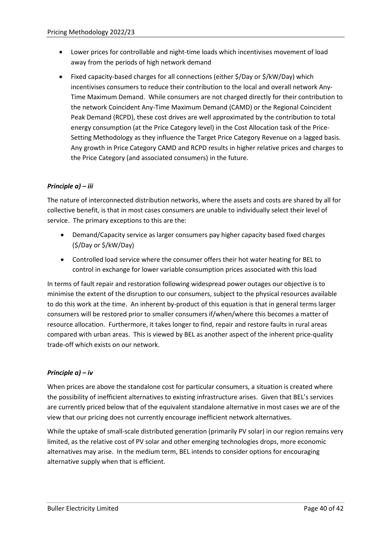- Lower prices for controllable and night-time loads which incentivises movement of load away from the periods of high network demand
- Fixed capacity-based charges for all connections (either \$/Day or \$/kW/Day) which incentivises consumers to reduce their contribution to the local and overall network Any-Time Maximum Demand. While consumers are not charged directly for their contribution to the network Coincident Any-Time Maximum Demand (CAMD) or the Regional Coincident Peak Demand (RCPD), these cost drives are well approximated by the contribution to total energy consumption (at the Price Category level) in the Cost Allocation task of the Price-Setting Methodology as they influence the Target Price Category Revenue on a lagged basis. Any growth in Price Category CAMD and RCPD results in higher relative prices and charges to the Price Category (and associated consumers) in the future.

#### *Principle a) – iii*

The nature of interconnected distribution networks, where the assets and costs are shared by all for collective benefit, is that in most cases consumers are unable to individually select their level of service. The primary exceptions to this are the:

- Demand/Capacity service as larger consumers pay higher capacity based fixed charges (\$/Day or \$/kW/Day)
- Controlled load service where the consumer offers their hot water heating for BEL to control in exchange for lower variable consumption prices associated with this load

In terms of fault repair and restoration following widespread power outages our objective is to minimise the extent of the disruption to our consumers, subject to the physical resources available to do this work at the time. An inherent by-product of this equation is that in general terms larger consumers will be restored prior to smaller consumers if/when/where this becomes a matter of resource allocation. Furthermore, it takes longer to find, repair and restore faults in rural areas compared with urban areas. This is viewed by BEL as another aspect of the inherent price-quality trade-off which exists on our network.

#### *Principle a) – iv*

When prices are above the standalone cost for particular consumers, a situation is created where the possibility of inefficient alternatives to existing infrastructure arises. Given that BEL's services are currently priced below that of the equivalent standalone alternative in most cases we are of the view that our pricing does not currently encourage inefficient network alternatives.

While the uptake of small-scale distributed generation (primarily PV solar) in our region remains very limited, as the relative cost of PV solar and other emerging technologies drops, more economic alternatives may arise. In the medium term, BEL intends to consider options for encouraging alternative supply when that is efficient.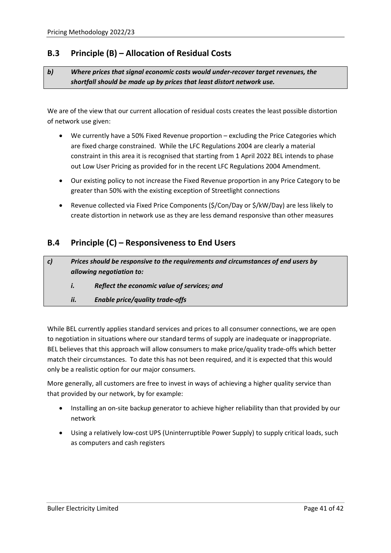### <span id="page-35-0"></span>**B.3 Principle (B) – Allocation of Residual Costs**

#### *b) Where prices that signal economic costs would under-recover target revenues, the shortfall should be made up by prices that least distort network use.*

We are of the view that our current allocation of residual costs creates the least possible distortion of network use given:

- We currently have a 50% Fixed Revenue proportion excluding the Price Categories which are fixed charge constrained. While the LFC Regulations 2004 are clearly a material constraint in this area it is recognised that starting from 1 April 2022 BEL intends to phase out Low User Pricing as provided for in the recent LFC Regulations 2004 Amendment.
- Our existing policy to not increase the Fixed Revenue proportion in any Price Category to be greater than 50% with the existing exception of Streetlight connections
- Revenue collected via Fixed Price Components (\$/Con/Day or \$/kW/Day) are less likely to create distortion in network use as they are less demand responsive than other measures

### <span id="page-35-1"></span>**B.4 Principle (C) – Responsiveness to End Users**

| C) | Prices should be responsive to the requirements and circumstances of end users by<br>allowing negotiation to: |                                             |  |  |
|----|---------------------------------------------------------------------------------------------------------------|---------------------------------------------|--|--|
|    | $\mathbf{I}$ .                                                                                                | Reflect the economic value of services; and |  |  |
|    | ii.                                                                                                           | <b>Enable price/quality trade-offs</b>      |  |  |

While BEL currently applies standard services and prices to all consumer connections, we are open to negotiation in situations where our standard terms of supply are inadequate or inappropriate. BEL believes that this approach will allow consumers to make price/quality trade-offs which better match their circumstances. To date this has not been required, and it is expected that this would only be a realistic option for our major consumers.

More generally, all customers are free to invest in ways of achieving a higher quality service than that provided by our network, by for example:

- Installing an on-site backup generator to achieve higher reliability than that provided by our network
- Using a relatively low-cost UPS (Uninterruptible Power Supply) to supply critical loads, such as computers and cash registers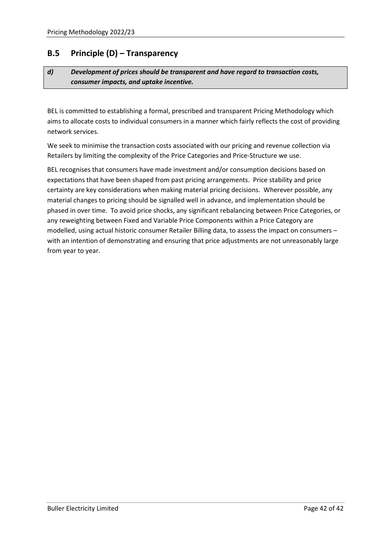### <span id="page-36-0"></span>**B.5 Principle (D) – Transparency**

#### *d) Development of prices should be transparent and have regard to transaction costs, consumer impacts, and uptake incentive.*

BEL is committed to establishing a formal, prescribed and transparent Pricing Methodology which aims to allocate costs to individual consumers in a manner which fairly reflects the cost of providing network services.

We seek to minimise the transaction costs associated with our pricing and revenue collection via Retailers by limiting the complexity of the Price Categories and Price-Structure we use.

BEL recognises that consumers have made investment and/or consumption decisions based on expectations that have been shaped from past pricing arrangements. Price stability and price certainty are key considerations when making material pricing decisions. Wherever possible, any material changes to pricing should be signalled well in advance, and implementation should be phased in over time. To avoid price shocks, any significant rebalancing between Price Categories, or any reweighting between Fixed and Variable Price Components within a Price Category are modelled, using actual historic consumer Retailer Billing data, to assess the impact on consumers – with an intention of demonstrating and ensuring that price adjustments are not unreasonably large from year to year.